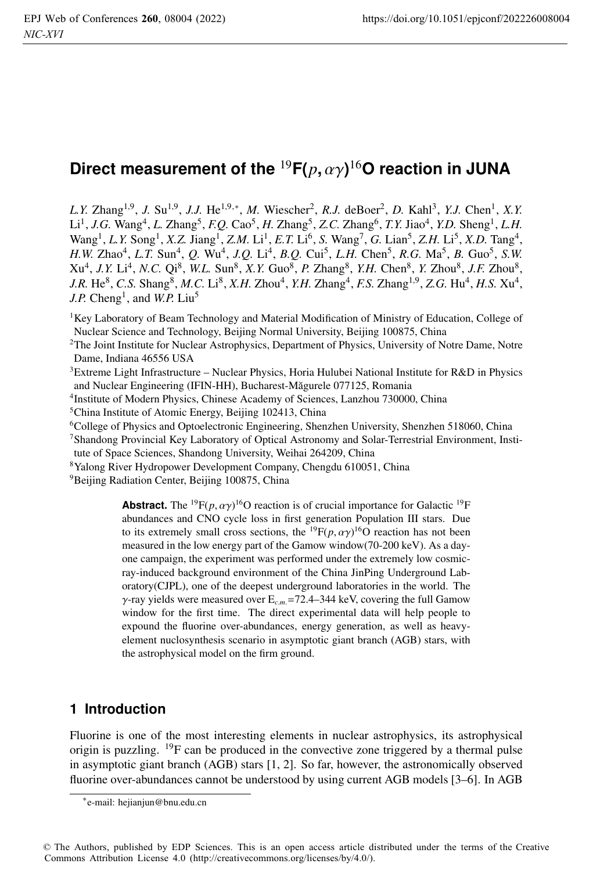## Direct measurement of the  $^{19}$ F( $p,\alpha\gamma)^{16}$ O reaction in JUNA

*L.Y.* Zhang<sup>1,9</sup>, *J.* Su<sup>1,9</sup>, *J.J.* He<sup>1,9,∗</sup>, *M.* Wiescher<sup>2</sup>, *R.J.* deBoer<sup>2</sup>, *D.* Kahl<sup>3</sup>, *Y.J.* Chen<sup>1</sup>, *X.Y.* Li1, *J.G.* Wang4, *L.* Zhang5, *F.Q.* Cao5, *H.* Zhang5, *Z.C.* Zhang6, *T.Y.* Jiao4, *Y.D.* Sheng1, *L.H.* Wang1, *L.Y.* Song1, *X.Z.* Jiang1, *Z.M.* Li1, *E.T.* Li6, *S.* Wang7, *G.* Lian5, *Z.H.* Li5, *X.D.* Tang4, *H.W.* Zhao<sup>4</sup>, *L.T.* Sun<sup>4</sup>, *Q.* Wu<sup>4</sup>, *J.Q.* Li<sup>4</sup>, *B.Q.* Cui<sup>5</sup>, *L.H.* Chen<sup>5</sup>, *R.G.* Ma<sup>5</sup>, *B.* Guo<sup>5</sup>, *S.W.* Xu4, *J.Y.* Li4, *N.C.* Qi8, *W.L.* Sun8, *X.Y.* Guo8, *P.* Zhang8, *Y.H.* Chen8, *Y.* Zhou8, *J.F.* Zhou8,  $J.R. He^8$ , *C.S.* Shang<sup>8</sup>, *M.C.* Li<sup>8</sup>, *X.H.* Zhou<sup>4</sup>, *Y.H.* Zhang<sup>4</sup>, *F.S.* Zhang<sup>1,9</sup>, *Z.G.* Hu<sup>4</sup>, *H.S.* Xu<sup>4</sup>, *J.P.* Cheng<sup>1</sup>, and *W.P.* Liu<sup>5</sup>

<sup>1</sup>Key Laboratory of Beam Technology and Material Modification of Ministry of Education, College of Nuclear Science and Technology, Beijing Normal University, Beijing 100875, China

<sup>2</sup>The Joint Institute for Nuclear Astrophysics, Department of Physics, University of Notre Dame, Notre Dame, Indiana 46556 USA

3Extreme Light Infrastructure – Nuclear Physics, Horia Hulubei National Institute for R&D in Physics and Nuclear Engineering (IFIN-HH), Bucharest-Măgurele 077125, Romania

4Institute of Modern Physics, Chinese Academy of Sciences, Lanzhou 730000, China

5China Institute of Atomic Energy, Beijing 102413, China

6College of Physics and Optoelectronic Engineering, Shenzhen University, Shenzhen 518060, China

7Shandong Provincial Key Laboratory of Optical Astronomy and Solar-Terrestrial Environment, Institute of Space Sciences, Shandong University, Weihai 264209, China

8Yalong River Hydropower Development Company, Chengdu 610051, China

<sup>9</sup>Beijing Radiation Center, Beijing 100875, China

**Abstract.** The <sup>19</sup> $F(p, \alpha \gamma)^{16}$ O reaction is of crucial importance for Galactic <sup>19</sup>F abundances and CNO cycle loss in first generation Population III stars. Due to its extremely small cross sections, the <sup>19</sup> $F(p, \alpha \gamma)^{16}$ O reaction has not been measured in the low energy part of the Gamow window(70-200 keV). As a dayone campaign, the experiment was performed under the extremely low cosmicray-induced background environment of the China JinPing Underground Laboratory(CJPL), one of the deepest underground laboratories in the world. The γ-ray yields were measured over E*c*.*m*.=72.4–344 keV, covering the full Gamow window for the first time. The direct experimental data will help people to expound the fluorine over-abundances, energy generation, as well as heavyelement nuclosynthesis scenario in asymptotic giant branch (AGB) stars, with the astrophysical model on the firm ground.

## **1 Introduction**

Fluorine is one of the most interesting elements in nuclear astrophysics, its astrophysical origin is puzzling.  $^{19}$ F can be produced in the convective zone triggered by a thermal pulse in asymptotic giant branch (AGB) stars [1, 2]. So far, however, the astronomically observed fluorine over-abundances cannot be understood by using current AGB models [3–6]. In AGB

<sup>∗</sup>e-mail: hejianjun@bnu.edu.cn

<sup>©</sup> The Authors, published by EDP Sciences. This is an open access article distributed under the terms of the Creative Commons Attribution License 4.0 (http://creativecommons.org/licenses/by/4.0/).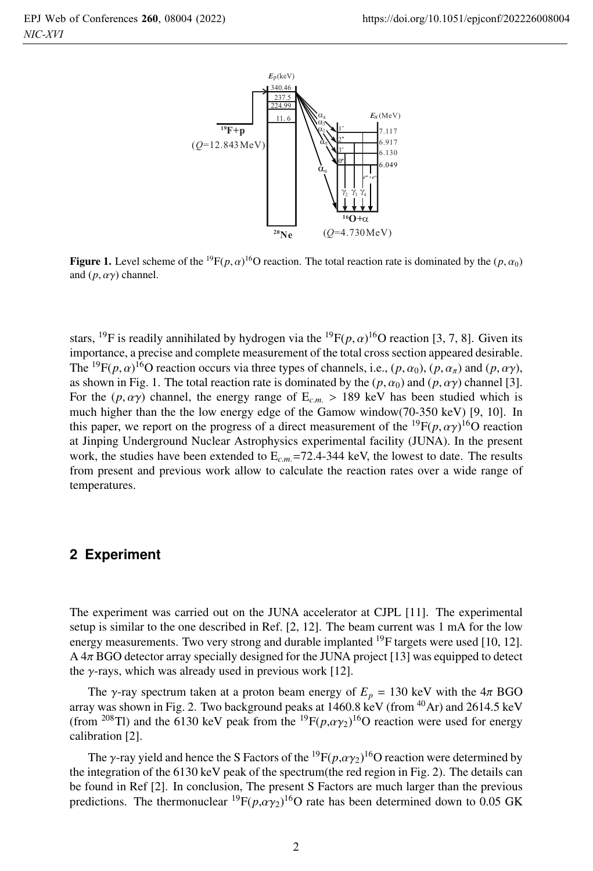

**Figure 1.** Level scheme of the <sup>19</sup> $F(p, \alpha)$ <sup>16</sup>O reaction. The total reaction rate is dominated by the  $(p, \alpha_0)$ and  $(p, \alpha \gamma)$  channel.

stars, <sup>19</sup>F is readily annihilated by hydrogen via the <sup>19</sup>F $(p, \alpha)$ <sup>16</sup>O reaction [3, 7, 8]. Given its importance, a precise and complete measurement of the total cross section appeared desirable. The <sup>19</sup>F(*p*,  $\alpha$ )<sup>16</sup>O reaction occurs via three types of channels, i.e., (*p*,  $\alpha_0$ ), (*p*,  $\alpha_\pi$ ) and (*p*,  $\alpha\gamma$ ), as shown in Fig. 1. The total reaction rate is dominated by the  $(p, \alpha_0)$  and  $(p, \alpha \gamma)$  channel [3]. For the  $(p, \alpha \gamma)$  channel, the energy range of  $E_{cm} > 189$  keV has been studied which is much higher than the the low energy edge of the Gamow window(70-350 keV) [9, 10]. In this paper, we report on the progress of a direct measurement of the  ${}^{19}F(p, \alpha\gamma) {}^{16}O$  reaction at Jinping Underground Nuclear Astrophysics experimental facility (JUNA). In the present work, the studies have been extended to  $E_{cm}$ =72.4-344 keV, the lowest to date. The results from present and previous work allow to calculate the reaction rates over a wide range of temperatures.

## **2 Experiment**

The experiment was carried out on the JUNA accelerator at CJPL [11]. The experimental setup is similar to the one described in Ref. [2, 12]. The beam current was 1 mA for the low energy measurements. Two very strong and durable implanted <sup>19</sup>F targets were used [10, 12]. A 4π BGO detector array specially designed for the JUNA project [13] was equipped to detect the  $\gamma$ -rays, which was already used in previous work [12].

The *γ*-ray spectrum taken at a proton beam energy of  $E_p = 130$  keV with the  $4\pi$  BGO array was shown in Fig. 2. Two background peaks at  $1460.8 \text{ keV (from }^{40}\text{Ar})$  and  $2614.5 \text{ keV}$ (from <sup>208</sup>Tl) and the 6130 keV peak from the <sup>19</sup> $F(p, \alpha \gamma_2)$ <sup>16</sup>O reaction were used for energy calibration [2].

The  $\gamma$ -ray yield and hence the S Factors of the  $^{19}F(p,\alpha\gamma_2)^{16}O$  reaction were determined by the integration of the 6130 keV peak of the spectrum(the red region in Fig. 2). The details can be found in Ref [2]. In conclusion, The present S Factors are much larger than the previous predictions. The thermonuclear  ${}^{19}F(p,\alpha\gamma_2){}^{16}O$  rate has been determined down to 0.05 GK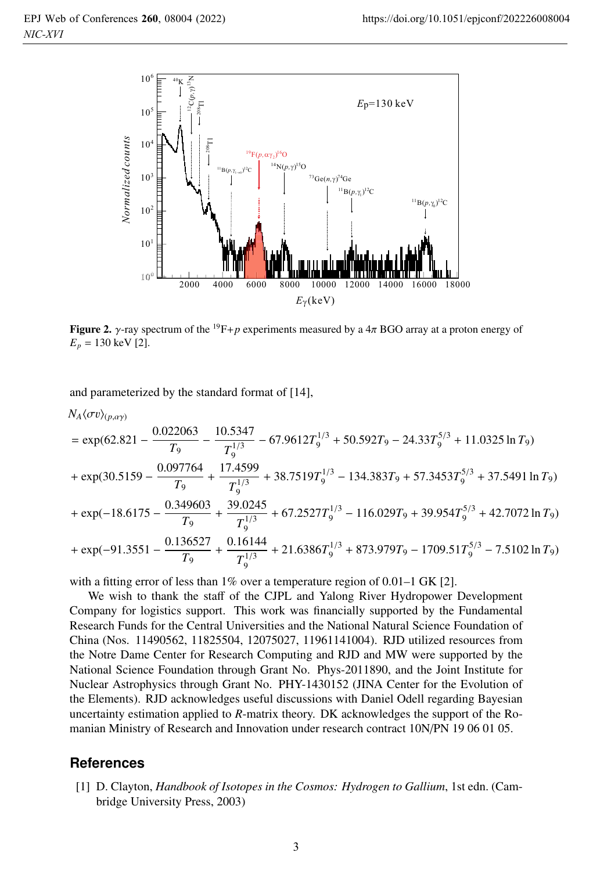

**Figure 2.**  $\gamma$ -ray spectrum of the <sup>19</sup>F+*p* experiments measured by a  $4\pi$  BGO array at a proton energy of  $E_p = 130 \text{ keV}$  [2].

and parameterized by the standard format of [14],

$$
N_A \langle \sigma v \rangle_{(p,\alpha\gamma)}
$$
  
= exp(62.821 -  $\frac{0.022063}{T_9}$  -  $\frac{10.5347}{T_9^{1/3}}$  - 67.9612 $T_9^{1/3}$  + 50.592 $T_9$  - 24.33 $T_9^{5/3}$  + 11.0325 ln  $T_9$ )  
+ exp(30.5159 -  $\frac{0.097764}{T_9}$  +  $\frac{17.4599}{T_9^{1/3}}$  + 38.7519 $T_9^{1/3}$  - 134.383 $T_9$  + 57.3453 $T_9^{5/3}$  + 37.5491 ln  $T_9$ )  
+ exp(-18.6175 -  $\frac{0.349603}{T_9}$  +  $\frac{39.0245}{T_9^{1/3}}$  + 67.2527 $T_9^{1/3}$  - 116.029 $T_9$  + 39.954 $T_9^{5/3}$  + 42.7072 ln  $T_9$ )  
+ exp(-91.3551 -  $\frac{0.136527}{T_9}$  +  $\frac{0.16144}{T_9^{1/3}}$  + 21.6386 $T_9^{1/3}$  + 873.979 $T_9$  - 1709.51 $T_9^{5/3}$  - 7.5102 ln  $T_9$ )

with a fitting error of less than 1% over a temperature region of 0.01–1 GK [2].

We wish to thank the staff of the CJPL and Yalong River Hydropower Development Company for logistics support. This work was financially supported by the Fundamental Research Funds for the Central Universities and the National Natural Science Foundation of China (Nos. 11490562, 11825504, 12075027, 11961141004). RJD utilized resources from the Notre Dame Center for Research Computing and RJD and MW were supported by the National Science Foundation through Grant No. Phys-2011890, and the Joint Institute for Nuclear Astrophysics through Grant No. PHY-1430152 (JINA Center for the Evolution of the Elements). RJD acknowledges useful discussions with Daniel Odell regarding Bayesian uncertainty estimation applied to *R*-matrix theory. DK acknowledges the support of the Romanian Ministry of Research and Innovation under research contract 10N/PN 19 06 01 05.

## **References**

[1] D. Clayton, *Handbook of Isotopes in the Cosmos: Hydrogen to Gallium*, 1st edn. (Cambridge University Press, 2003)